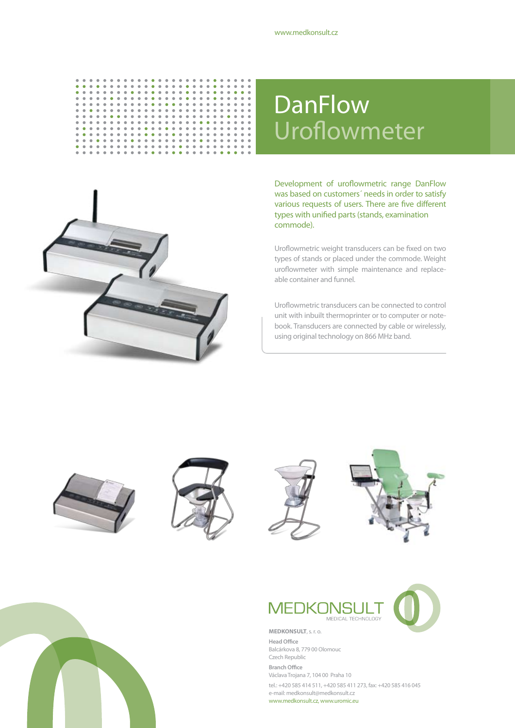

## DanFlow Uroflowmeter



#### Development of uroflowmetric range DanFlow was based on customers´ needs in order to satisfy various requests of users. There are five different types with unified parts (stands, examination commode).

Uroflowmetric weight transducers can be fixed on two types of stands or placed under the commode. Weight uroflowmeter with simple maintenance and replaceable container and funnel.

Uroflowmetric transducers can be connected to control unit with inbuilt thermoprinter or to computer or notebook. Transducers are connected by cable or wirelessly, using original technology on 866 MHz band.











**Head Office** Balcárkova 8, 779 00 Olomouc Czech Republic **Branch Office** Václava Trojana 7, 104 00 Praha 10 tel.: +420 585 414 511, +420 585 411 273, fax: +420 585 416 045 e-mail: medkonsult@medkonsult.cz www.medkonsult.cz, www.uromic.eu